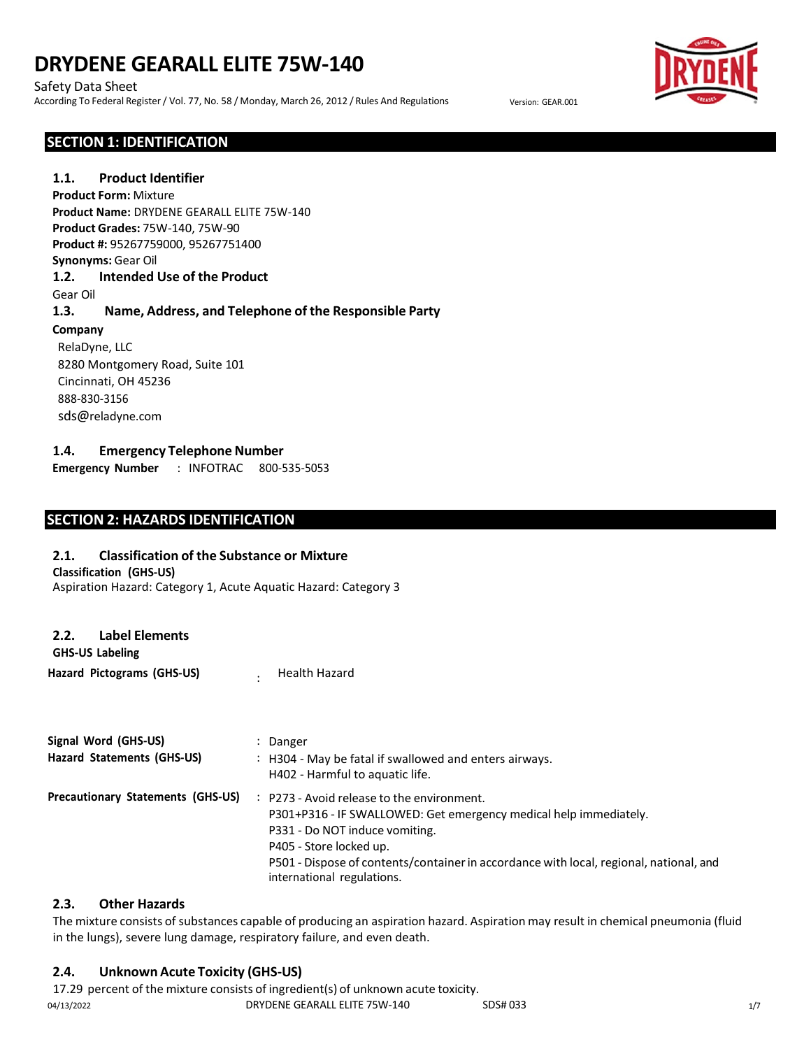#### Safety Data Sheet

According To Federal Register / Vol. 77, No. 58 / Monday, March 26, 2012 / Rules And Regulations Version: GEAR.001



#### **SECTION 1: IDENTIFICATION**

### **1.1. Product Identifier Product Form:** Mixture

**Product Name:** DRYDENE GEARALL ELITE 75W-140 **Product Grades:** 75W-140, 75W-90 **Product #:** 95267759000, 95267751400 **Synonyms:** Gear Oil **1.2. Intended Use of the Product**

#### Gear Oil

### **1.3. Name, Address, and Telephone of the Responsible Party**

#### **Company**

RelaDyne, LLC 8280 Montgomery Road, Suite 101 Cincinnati, OH 45236 888-830-3156 sds@reladyne.com

### **1.4. Emergency Telephone Number**

**Emergency Number** : INFOTRAC 800-535-5053

# **SECTION 2: HAZARDS IDENTIFICATION**

#### **2.1. Classification of the Substance or Mixture**

Aspiration Hazard: Category 1, Acute Aquatic Hazard: Category 3

**Classification (GHS-US)**

| <b>Label Elements</b><br>2.2. |
|-------------------------------|
|-------------------------------|

**GHS-US Labeling Hazard Pictograms (GHS-US)** : Health Hazard

| Signal Word (GHS-US)                     | Danger                                                                                                                                                                                                                                                                                                                          |
|------------------------------------------|---------------------------------------------------------------------------------------------------------------------------------------------------------------------------------------------------------------------------------------------------------------------------------------------------------------------------------|
| Hazard Statements (GHS-US)               | : H304 - May be fatal if swallowed and enters airways.<br>H402 - Harmful to aquatic life.                                                                                                                                                                                                                                       |
| <b>Precautionary Statements (GHS-US)</b> | P273 - Avoid release to the environment.<br>$\mathbb{Z}^{\mathbb{Z}}$<br>P301+P316 - IF SWALLOWED: Get emergency medical help immediately.<br>P331 - Do NOT induce vomiting.<br>P405 - Store locked up.<br>P501 - Dispose of contents/container in accordance with local, regional, national, and<br>international regulations. |

#### **2.3. Other Hazards**

The mixture consists of substances capable of producing an aspiration hazard. Aspiration may result in chemical pneumonia (fluid in the lungs), severe lung damage, respiratory failure, and even death.

# **2.4. Unknown Acute Toxicity (GHS-US)**

04/13/2022 DRYDENE GEARALL ELITE 75W-140 SDS# 033 1/7 17.29 percent of the mixture consists of ingredient(s) of unknown acute toxicity.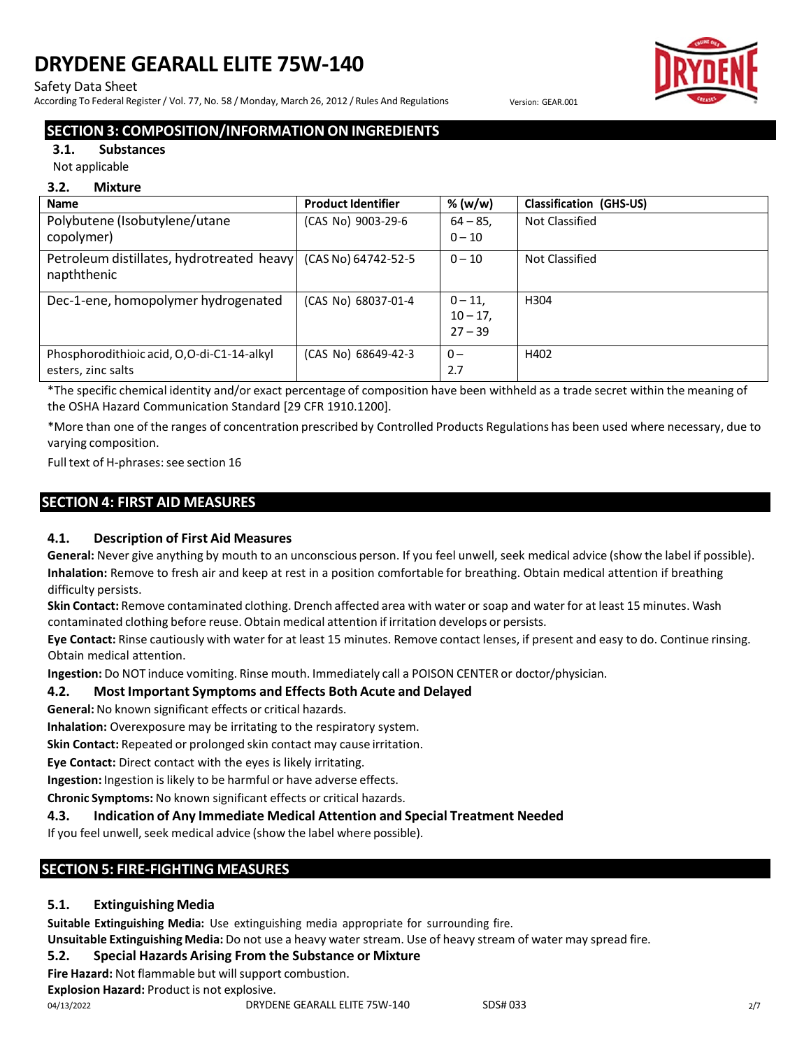#### Safety Data Sheet

According To Federal Register / Vol. 77, No. 58 / Monday, March 26, 2012 / Rules And Regulations Version: GEAR.001



# **SECTION 3: COMPOSITION/INFORMATION ON INGREDIENTS**

#### **3.1. Substances**

Not applicable

#### **3.2. Mixture**

| <b>Name</b>                                                                    | <b>Product Identifier</b> | % (w/w)                               | <b>Classification (GHS-US)</b> |
|--------------------------------------------------------------------------------|---------------------------|---------------------------------------|--------------------------------|
| Polybutene (Isobutylene/utane<br>copolymer)                                    | (CAS No) 9003-29-6        | $64 - 85$<br>$0 - 10$                 | Not Classified                 |
| Petroleum distillates, hydrotreated heavy   (CAS No) 64742-52-5<br>napththenic |                           | $0 - 10$                              | Not Classified                 |
| Dec-1-ene, homopolymer hydrogenated                                            | (CAS No) 68037-01-4       | $0 - 11.$<br>$10 - 17$ ,<br>$27 - 39$ | H <sub>304</sub>               |
| Phosphorodithioic acid, O,O-di-C1-14-alkyl<br>esters, zinc salts               | (CAS No) 68649-42-3       | $0 -$<br>2.7                          | H402                           |

\*The specific chemical identity and/or exact percentage of composition have been withheld as a trade secret within the meaning of the OSHA Hazard Communication Standard [29 CFR 1910.1200].

\*More than one of the ranges of concentration prescribed by Controlled Products Regulations has been used where necessary, due to varying composition.

Full text of H-phrases: see section 16

# **SECTION 4: FIRST AID MEASURES**

# **4.1. Description of First Aid Measures**

**General:** Never give anything by mouth to an unconscious person. If you feel unwell, seek medical advice (show the label if possible). **Inhalation:** Remove to fresh air and keep at rest in a position comfortable for breathing. Obtain medical attention if breathing difficulty persists.

**Skin Contact:** Remove contaminated clothing. Drench affected area with water or soap and water for at least 15 minutes. Wash contaminated clothing before reuse. Obtain medical attention if irritation develops or persists.

**Eye Contact:** Rinse cautiously with water for at least 15 minutes. Remove contact lenses, if present and easy to do. Continue rinsing. Obtain medical attention.

**Ingestion:** Do NOT induce vomiting. Rinse mouth. Immediately call a POISON CENTER or doctor/physician.

# **4.2. Most Important Symptoms and Effects Both Acute and Delayed**

**General:** No known significant effects or critical hazards.

**Inhalation:** Overexposure may be irritating to the respiratory system.

**Skin Contact:** Repeated or prolonged skin contact may cause irritation.

**Eye Contact:** Direct contact with the eyes is likely irritating.

**Ingestion:** Ingestion is likely to be harmful or have adverse effects.

**Chronic Symptoms:** No known significant effects or critical hazards.

#### **4.3. Indication of Any Immediate Medical Attention and Special Treatment Needed**

If you feel unwell, seek medical advice (show the label where possible).

# **SECTION 5: FIRE-FIGHTING MEASURES**

# **5.1. Extinguishing Media**

**Suitable Extinguishing Media:** Use extinguishing media appropriate for surrounding fire.

**Unsuitable Extinguishing Media:** Do not use a heavy water stream. Use of heavy stream of water may spread fire.

# **5.2. Special Hazards Arising From the Substance or Mixture**

**Fire Hazard:** Not flammable but willsupport combustion.

**Explosion Hazard:** Product is not explosive.

04/13/2022 DRYDENE GEARALL ELITE 75W-140 SDS# 033 2/7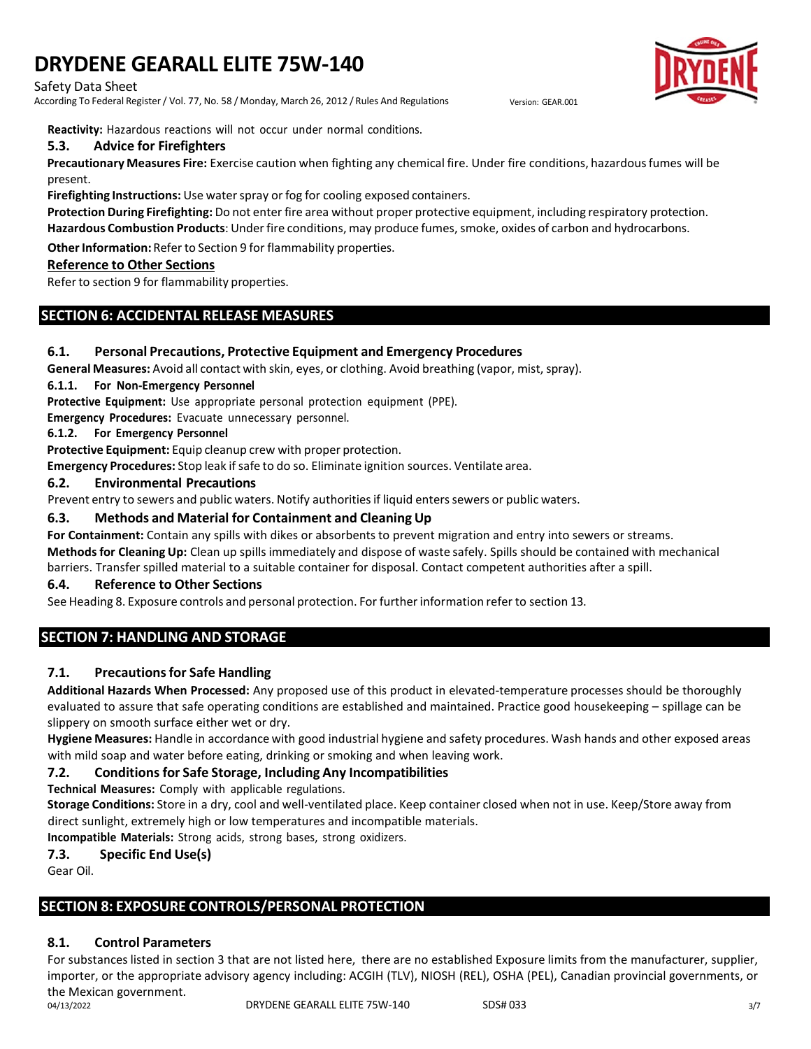#### Safety Data Sheet

According To Federal Register / Vol. 77, No. 58 / Monday, March 26, 2012 / Rules And Regulations Version: GEAR.001



**Reactivity:** Hazardous reactions will not occur under normal conditions.

#### **5.3. Advice for Firefighters**

**Precautionary Measures Fire:** Exercise caution when fighting any chemical fire. Under fire conditions, hazardousfumes will be present.

**Firefighting Instructions:** Use waterspray or fog for cooling exposed containers.

**Protection During Firefighting:** Do not enter fire area without proper protective equipment, including respiratory protection. **Hazardous Combustion Products**: Underfire conditions, may produce fumes, smoke, oxides of carbon and hydrocarbons.

**Other Information:** Refer to Section 9 for flammability properties.

#### **Reference to Other Sections**

Refer to section 9 for flammability properties.

# **SECTION 6: ACCIDENTAL RELEASE MEASURES**

### **6.1. Personal Precautions, Protective Equipment and Emergency Procedures**

**General Measures:** Avoid all contact with skin, eyes, or clothing. Avoid breathing (vapor, mist, spray).

#### **6.1.1. For Non-Emergency Personnel**

**Protective Equipment:** Use appropriate personal protection equipment (PPE).

**Emergency Procedures:** Evacuate unnecessary personnel.

**6.1.2. For Emergency Personnel**

**Protective Equipment:** Equip cleanup crew with proper protection.

**Emergency Procedures:** Stop leak if safe to do so. Eliminate ignition sources. Ventilate area.

#### **6.2. Environmental Precautions**

Prevent entry to sewers and public waters. Notify authoritiesif liquid enterssewers or public waters.

### **6.3. Methods and Material for Containment and Cleaning Up**

**For Containment:** Contain any spills with dikes or absorbents to prevent migration and entry into sewers or streams.

**Methodsfor Cleaning Up:** Clean up spills immediately and dispose of waste safely. Spills should be contained with mechanical barriers. Transfer spilled material to a suitable container for disposal. Contact competent authorities after a spill.

#### **6.4. Reference to Other Sections**

See Heading 8. Exposure controls and personal protection. For furtherinformation refer to section 13.

# **SECTION 7: HANDLING AND STORAGE**

# **7.1. Precautionsfor Safe Handling**

**Additional Hazards When Processed:** Any proposed use of this product in elevated-temperature processes should be thoroughly evaluated to assure that safe operating conditions are established and maintained. Practice good housekeeping – spillage can be slippery on smooth surface either wet or dry.

**Hygiene Measures:** Handle in accordance with good industrial hygiene and safety procedures. Wash hands and other exposed areas with mild soap and water before eating, drinking or smoking and when leaving work.

# **7.2. Conditionsfor Safe Storage, Including Any Incompatibilities**

**Technical Measures:** Comply with applicable regulations.

**Storage Conditions:** Store in a dry, cool and well-ventilated place. Keep container closed when not in use. Keep/Store away from direct sunlight, extremely high or low temperatures and incompatible materials.

**Incompatible Materials:** Strong acids, strong bases, strong oxidizers.

### **7.3. Specific End Use(s)**

Gear Oil.

# **SECTION 8: EXPOSURE CONTROLS/PERSONAL PROTECTION**

# **8.1. Control Parameters**

For substances listed in section 3 that are not listed here, there are no established Exposure limits from the manufacturer, supplier, importer, or the appropriate advisory agency including: ACGIH (TLV), NIOSH (REL), OSHA (PEL), Canadian provincial governments, or the Mexican government.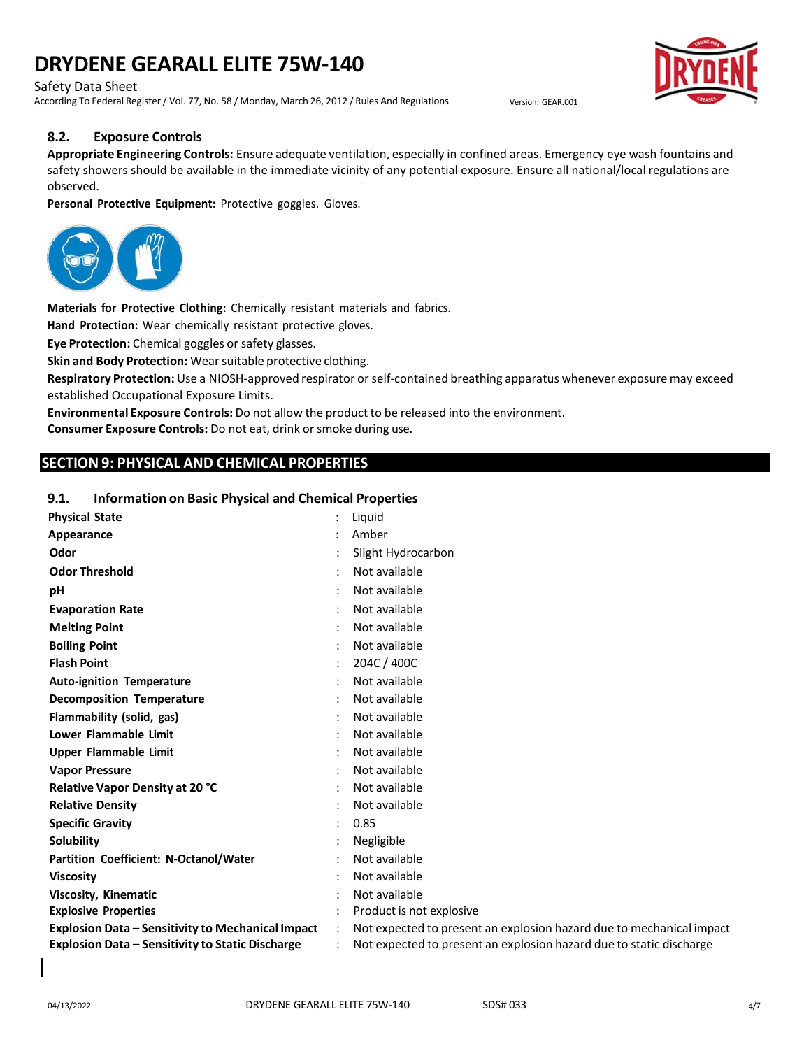Safety Data Sheet

According To Federal Register / Vol. 77, No. 58 / Monday, March 26, 2012 / Rules And Regulations Version: GEAR.001



#### **8.2. Exposure Controls**

**Appropriate Engineering Controls:** Ensure adequate ventilation, especially in confined areas. Emergency eye wash fountains and safety showers should be available in the immediate vicinity of any potential exposure. Ensure all national/local regulations are observed.

**Personal Protective Equipment:** Protective goggles. Gloves.



**Materials for Protective Clothing:** Chemically resistant materials and fabrics.

**Hand Protection:** Wear chemically resistant protective gloves.

**Eye Protection:** Chemical goggles or safety glasses.

**Skin and Body Protection:** Wearsuitable protective clothing.

**Respiratory Protection:** Use a NIOSH-approved respirator or self-contained breathing apparatus whenever exposure may exceed established Occupational Exposure Limits.

**Environmental Exposure Controls:** Do not allow the product to be released into the environment. **Consumer Exposure Controls:** Do not eat, drink orsmoke during use.

# **SECTION 9: PHYSICAL AND CHEMICAL PROPERTIES**

#### **9.1. Information on Basic Physical and Chemical Properties**

| <b>Physical State</b>                                    | Liquid                                                               |
|----------------------------------------------------------|----------------------------------------------------------------------|
| Appearance                                               | Amber                                                                |
| Odor                                                     | Slight Hydrocarbon                                                   |
| <b>Odor Threshold</b>                                    | Not available                                                        |
| pH                                                       | Not available                                                        |
| <b>Evaporation Rate</b>                                  | Not available                                                        |
| <b>Melting Point</b>                                     | Not available                                                        |
| <b>Boiling Point</b>                                     | Not available                                                        |
| <b>Flash Point</b>                                       | 204C / 400C                                                          |
| <b>Auto-ignition Temperature</b>                         | Not available                                                        |
| <b>Decomposition Temperature</b>                         | Not available                                                        |
| Flammability (solid, gas)                                | Not available                                                        |
| Lower Flammable Limit                                    | Not available                                                        |
| <b>Upper Flammable Limit</b>                             | Not available                                                        |
| <b>Vapor Pressure</b>                                    | Not available                                                        |
| <b>Relative Vapor Density at 20 °C</b>                   | Not available                                                        |
| <b>Relative Density</b>                                  | Not available                                                        |
| <b>Specific Gravity</b>                                  | 0.85                                                                 |
| <b>Solubility</b>                                        | Negligible                                                           |
| Partition Coefficient: N-Octanol/Water                   | Not available                                                        |
| <b>Viscosity</b>                                         | Not available                                                        |
| <b>Viscosity, Kinematic</b>                              | Not available                                                        |
| <b>Explosive Properties</b>                              | Product is not explosive                                             |
| <b>Explosion Data - Sensitivity to Mechanical Impact</b> | Not expected to present an explosion hazard due to mechanical impact |
| Explosion Data - Sensitivity to Static Discharge         | Not expected to present an explosion hazard due to static discharge  |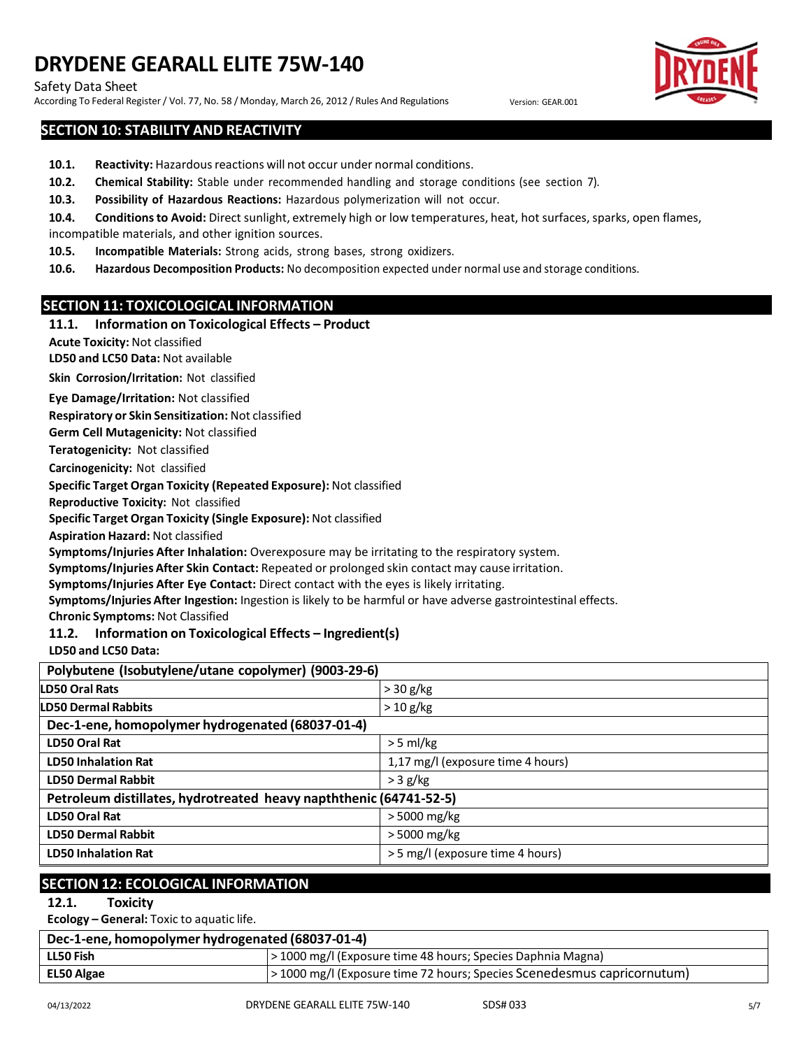#### Safety Data Sheet

According To Federal Register / Vol. 77, No. 58 / Monday, March 26, 2012 / Rules And Regulations Version: GEAR.001

### **SECTION 10: STABILITY AND REACTIVITY**

- 10.1. **Reactivity:** Hazardous reactions will not occur under normal conditions.
- **10.2. Chemical Stability:** Stable under recommended handling and storage conditions (see section 7).
- **10.3. Possibility of Hazardous Reactions:** Hazardous polymerization will not occur.
- 10.4. Conditions to Avoid: Direct sunlight, extremely high or low temperatures, heat, hot surfaces, sparks, open flames,
- incompatible materials, and other ignition sources.
- **10.5. Incompatible Materials:** Strong acids, strong bases, strong oxidizers.
- **10.6. Hazardous Decomposition Products:** No decomposition expected under normal use and storage conditions.

### **SECTION 11: TOXICOLOGICAL INFORMATION**

#### **11.1. Information on Toxicological Effects – Product**

**Acute Toxicity:** Not classified

**LD50 and LC50 Data:** Not available

**Skin Corrosion/Irritation:** Not classified

**Eye Damage/Irritation:** Not classified

**Respiratory or Skin Sensitization:** Not classified

**Germ Cell Mutagenicity:** Not classified

**Teratogenicity:** Not classified

**Carcinogenicity:** Not classified

**Specific Target Organ Toxicity (Repeated Exposure):** Not classified

**Reproductive Toxicity:** Not classified

**Specific Target Organ Toxicity (Single Exposure):** Not classified

**Aspiration Hazard:** Not classified

**Symptoms/Injuries After Inhalation:** Overexposure may be irritating to the respiratory system.

**Symptoms/Injuries After Skin Contact:** Repeated or prolonged skin contact may cause irritation.

**Symptoms/Injuries After Eye Contact:** Direct contact with the eyes is likely irritating.

**Symptoms/Injuries After Ingestion:** Ingestion is likely to be harmful or have adverse gastrointestinal effects.

**Chronic Symptoms:** Not Classified

**11.2. Information on Toxicological Effects – Ingredient(s)**

**LD50 and LC50 Data:**

| Polybutene (Isobutylene/utane copolymer) (9003-29-6)               |                                   |  |
|--------------------------------------------------------------------|-----------------------------------|--|
| <b>LD50 Oral Rats</b>                                              | $>$ 30 g/kg                       |  |
| <b>LD50 Dermal Rabbits</b>                                         | $>$ 10 g/kg                       |  |
| Dec-1-ene, homopolymer hydrogenated (68037-01-4)                   |                                   |  |
| <b>LD50 Oral Rat</b>                                               | $>$ 5 ml/kg                       |  |
| <b>LD50 Inhalation Rat</b>                                         | 1,17 mg/l (exposure time 4 hours) |  |
| <b>LD50 Dermal Rabbit</b>                                          | $>$ 3 g/kg                        |  |
| Petroleum distillates, hydrotreated heavy napththenic (64741-52-5) |                                   |  |
| <b>LD50 Oral Rat</b>                                               | > 5000 mg/kg                      |  |
| <b>LD50 Dermal Rabbit</b>                                          | > 5000 mg/kg                      |  |
| <b>LD50 Inhalation Rat</b>                                         | > 5 mg/l (exposure time 4 hours)  |  |

#### **SECTION 12: ECOLOGICAL INFORMATION**

**12.1. Toxicity**

**Ecology – General:** Toxic to aquatic life.

| Dec-1-ene, homopolymer hydrogenated (68037-01-4) |                                                                         |  |
|--------------------------------------------------|-------------------------------------------------------------------------|--|
| LL50 Fish                                        | > 1000 mg/l (Exposure time 48 hours; Species Daphnia Magna)             |  |
| EL50 Algae                                       | > 1000 mg/l (Exposure time 72 hours; Species Scenedesmus capricornutum) |  |



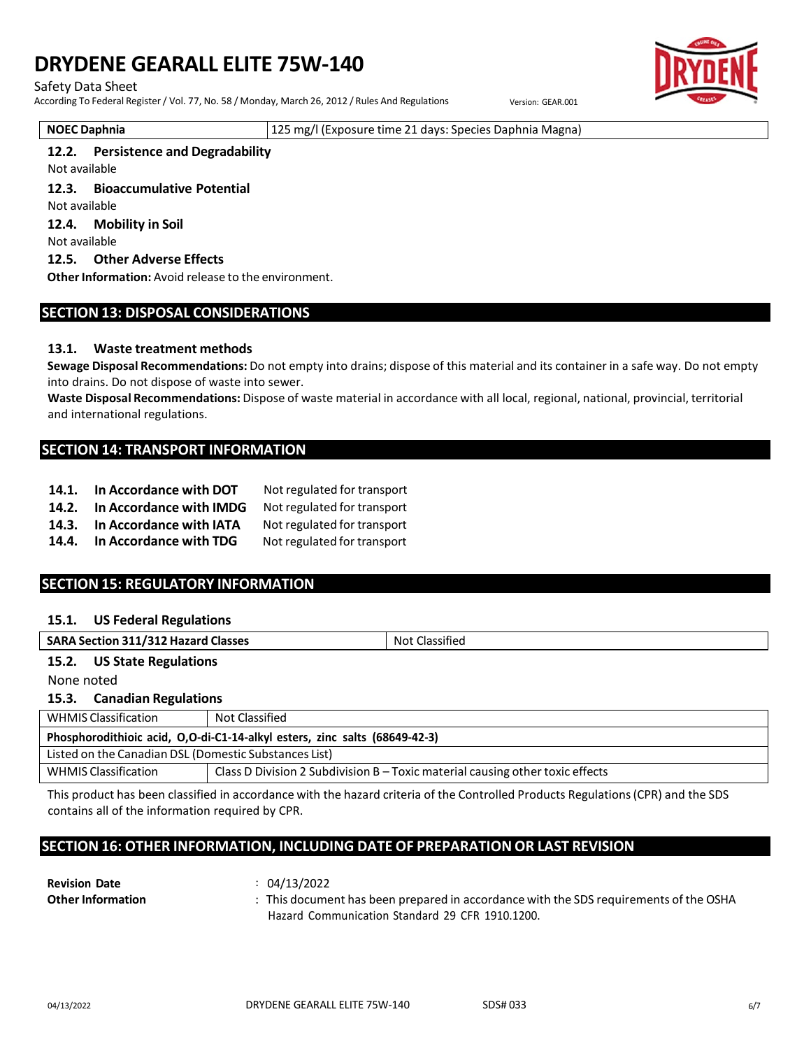#### Safety Data Sheet

According To Federal Register / Vol. 77, No. 58 / Monday, March 26, 2012 / Rules And Regulations Version: GEAR.001

**NOEC Daphnia** 125 mg/l (Exposure time 21 days: Species Daphnia Magna)

#### **12.2. Persistence and Degradability**

Not available

**12.3. Bioaccumulative Potential**

Not available

**12.4. Mobility in Soil**

Not available

#### **12.5. Other Adverse Effects**

**Other Information:** Avoid release to the environment.

### **SECTION 13: DISPOSAL CONSIDERATIONS**

#### **13.1. Waste treatment methods**

**Sewage Disposal Recommendations:** Do not empty into drains; dispose of this material and its container in a safe way. Do not empty into drains. Do not dispose of waste into sewer.

**Waste Disposal Recommendations:** Dispose of waste material in accordance with all local, regional, national, provincial, territorial and international regulations.

#### **SECTION 14: TRANSPORT INFORMATION**

- **14.1. In Accordance with DOT** Not regulated for transport
- **14.2. In Accordance with IMDG** Not regulated for transport
- **14.3. In Accordance with IATA** Not regulated for transport
- **14.4. In Accordance with TDG** Not regulated for transport

# **SECTION 15: REGULATORY INFORMATION**

#### **15.1. US Federal Regulations**

| <b>SARA Section 311/312 Hazard Classes</b> | Not Classified |  |
|--------------------------------------------|----------------|--|
| 15.2.<br><b>US State Regulations</b>       |                |  |
| None noted                                 |                |  |

**15.3. Canadian Regulations**

| <b>WHMIS Classification</b>                                                | Not Classified                                                                |  |  |
|----------------------------------------------------------------------------|-------------------------------------------------------------------------------|--|--|
| Phosphorodithioic acid, O,O-di-C1-14-alkyl esters, zinc salts (68649-42-3) |                                                                               |  |  |
| Listed on the Canadian DSL (Domestic Substances List)                      |                                                                               |  |  |
| WHMIS Classification                                                       | Class D Division 2 Subdivision B – Toxic material causing other toxic effects |  |  |

This product has been classified in accordance with the hazard criteria of the Controlled Products Regulations(CPR) and the SDS contains all of the information required by CPR.

# **SECTION 16: OTHER INFORMATION, INCLUDING DATE OF PREPARATION OR LAST REVISION**

| <b>Revision Date</b>     | 04/13/2022                                                                          |
|--------------------------|-------------------------------------------------------------------------------------|
| <b>Other Information</b> | This document has been prepared in accordance with the SDS requirements of the OSHA |
|                          | Hazard Communication Standard 29 CFR 1910.1200.                                     |